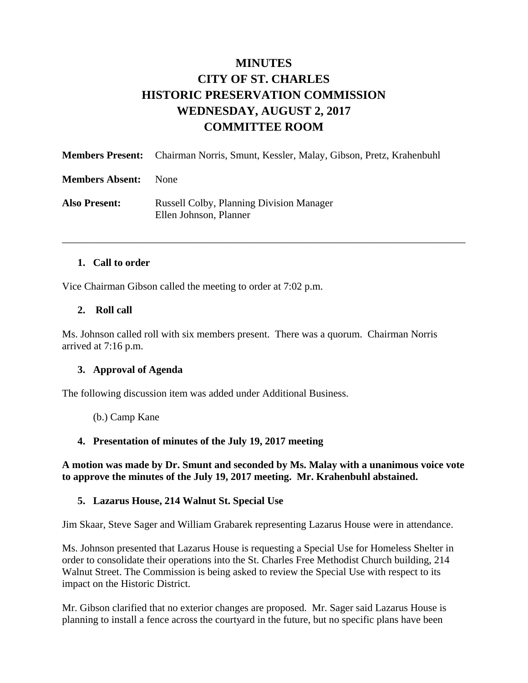# **MINUTES CITY OF ST. CHARLES HISTORIC PRESERVATION COMMISSION WEDNESDAY, AUGUST 2, 2017 COMMITTEE ROOM**

|                        | <b>Members Present:</b> Chairman Norris, Smunt, Kessler, Malay, Gibson, Pretz, Krahenbuhl |
|------------------------|-------------------------------------------------------------------------------------------|
| <b>Members Absent:</b> | None.                                                                                     |
| <b>Also Present:</b>   | <b>Russell Colby, Planning Division Manager</b><br>Ellen Johnson, Planner                 |

\_\_\_\_\_\_\_\_\_\_\_\_\_\_\_\_\_\_\_\_\_\_\_\_\_\_\_\_\_\_\_\_\_\_\_\_\_\_\_\_\_\_\_\_\_\_\_\_\_\_\_\_\_\_\_\_\_\_\_\_\_\_\_\_\_\_\_\_\_\_\_\_\_\_\_\_\_\_

#### **1. Call to order**

Vice Chairman Gibson called the meeting to order at 7:02 p.m.

### **2. Roll call**

Ms. Johnson called roll with six members present. There was a quorum. Chairman Norris arrived at 7:16 p.m.

#### **3. Approval of Agenda**

The following discussion item was added under Additional Business.

(b.) Camp Kane

## **4. Presentation of minutes of the July 19, 2017 meeting**

**A motion was made by Dr. Smunt and seconded by Ms. Malay with a unanimous voice vote to approve the minutes of the July 19, 2017 meeting. Mr. Krahenbuhl abstained.** 

#### **5. Lazarus House, 214 Walnut St. Special Use**

Jim Skaar, Steve Sager and William Grabarek representing Lazarus House were in attendance.

Ms. Johnson presented that Lazarus House is requesting a Special Use for Homeless Shelter in order to consolidate their operations into the St. Charles Free Methodist Church building, 214 Walnut Street. The Commission is being asked to review the Special Use with respect to its impact on the Historic District.

Mr. Gibson clarified that no exterior changes are proposed. Mr. Sager said Lazarus House is planning to install a fence across the courtyard in the future, but no specific plans have been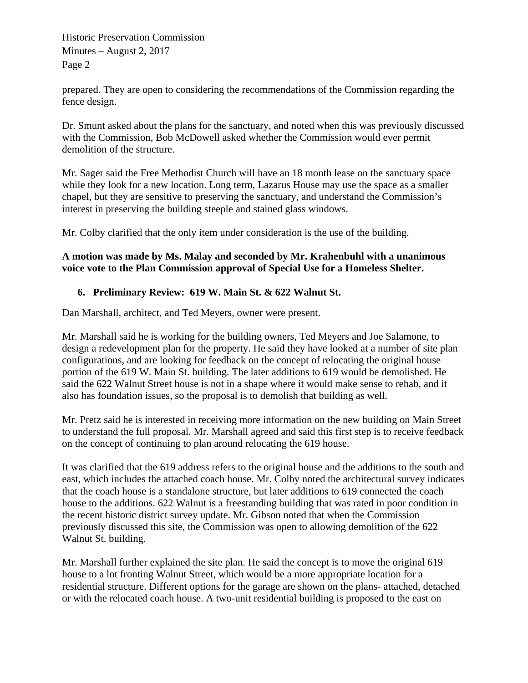Historic Preservation Commission Minutes – August 2, 2017 Page 2

prepared. They are open to considering the recommendations of the Commission regarding the fence design.

Dr. Smunt asked about the plans for the sanctuary, and noted when this was previously discussed with the Commission, Bob McDowell asked whether the Commission would ever permit demolition of the structure.

Mr. Sager said the Free Methodist Church will have an 18 month lease on the sanctuary space while they look for a new location. Long term, Lazarus House may use the space as a smaller chapel, but they are sensitive to preserving the sanctuary, and understand the Commission's interest in preserving the building steeple and stained glass windows.

Mr. Colby clarified that the only item under consideration is the use of the building.

## **A motion was made by Ms. Malay and seconded by Mr. Krahenbuhl with a unanimous voice vote to the Plan Commission approval of Special Use for a Homeless Shelter.**

## **6. Preliminary Review: 619 W. Main St. & 622 Walnut St.**

Dan Marshall, architect, and Ted Meyers, owner were present.

Mr. Marshall said he is working for the building owners, Ted Meyers and Joe Salamone, to design a redevelopment plan for the property. He said they have looked at a number of site plan configurations, and are looking for feedback on the concept of relocating the original house portion of the 619 W. Main St. building. The later additions to 619 would be demolished. He said the 622 Walnut Street house is not in a shape where it would make sense to rehab, and it also has foundation issues, so the proposal is to demolish that building as well.

Mr. Pretz said he is interested in receiving more information on the new building on Main Street to understand the full proposal. Mr. Marshall agreed and said this first step is to receive feedback on the concept of continuing to plan around relocating the 619 house.

It was clarified that the 619 address refers to the original house and the additions to the south and east, which includes the attached coach house. Mr. Colby noted the architectural survey indicates that the coach house is a standalone structure, but later additions to 619 connected the coach house to the additions. 622 Walnut is a freestanding building that was rated in poor condition in the recent historic district survey update. Mr. Gibson noted that when the Commission previously discussed this site, the Commission was open to allowing demolition of the 622 Walnut St. building.

Mr. Marshall further explained the site plan. He said the concept is to move the original 619 house to a lot fronting Walnut Street, which would be a more appropriate location for a residential structure. Different options for the garage are shown on the plans- attached, detached or with the relocated coach house. A two-unit residential building is proposed to the east on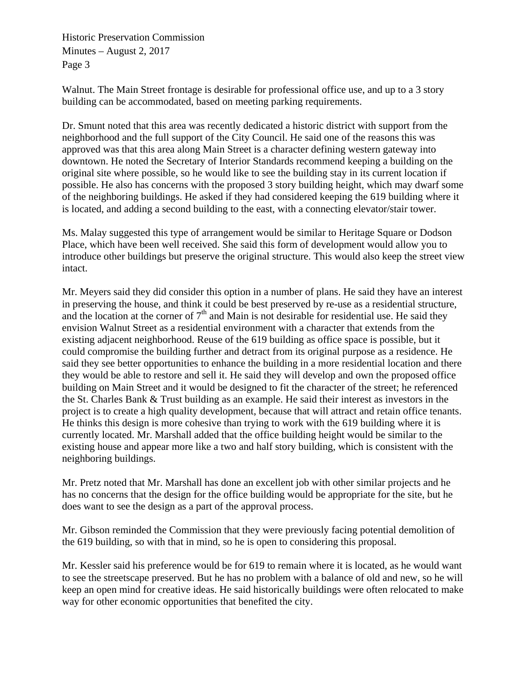Historic Preservation Commission Minutes – August 2, 2017 Page 3

Walnut. The Main Street frontage is desirable for professional office use, and up to a 3 story building can be accommodated, based on meeting parking requirements.

Dr. Smunt noted that this area was recently dedicated a historic district with support from the neighborhood and the full support of the City Council. He said one of the reasons this was approved was that this area along Main Street is a character defining western gateway into downtown. He noted the Secretary of Interior Standards recommend keeping a building on the original site where possible, so he would like to see the building stay in its current location if possible. He also has concerns with the proposed 3 story building height, which may dwarf some of the neighboring buildings. He asked if they had considered keeping the 619 building where it is located, and adding a second building to the east, with a connecting elevator/stair tower.

Ms. Malay suggested this type of arrangement would be similar to Heritage Square or Dodson Place, which have been well received. She said this form of development would allow you to introduce other buildings but preserve the original structure. This would also keep the street view intact.

Mr. Meyers said they did consider this option in a number of plans. He said they have an interest in preserving the house, and think it could be best preserved by re-use as a residential structure, and the location at the corner of  $7<sup>th</sup>$  and Main is not desirable for residential use. He said they envision Walnut Street as a residential environment with a character that extends from the existing adjacent neighborhood. Reuse of the 619 building as office space is possible, but it could compromise the building further and detract from its original purpose as a residence. He said they see better opportunities to enhance the building in a more residential location and there they would be able to restore and sell it. He said they will develop and own the proposed office building on Main Street and it would be designed to fit the character of the street; he referenced the St. Charles Bank & Trust building as an example. He said their interest as investors in the project is to create a high quality development, because that will attract and retain office tenants. He thinks this design is more cohesive than trying to work with the 619 building where it is currently located. Mr. Marshall added that the office building height would be similar to the existing house and appear more like a two and half story building, which is consistent with the neighboring buildings.

Mr. Pretz noted that Mr. Marshall has done an excellent job with other similar projects and he has no concerns that the design for the office building would be appropriate for the site, but he does want to see the design as a part of the approval process.

Mr. Gibson reminded the Commission that they were previously facing potential demolition of the 619 building, so with that in mind, so he is open to considering this proposal.

Mr. Kessler said his preference would be for 619 to remain where it is located, as he would want to see the streetscape preserved. But he has no problem with a balance of old and new, so he will keep an open mind for creative ideas. He said historically buildings were often relocated to make way for other economic opportunities that benefited the city.